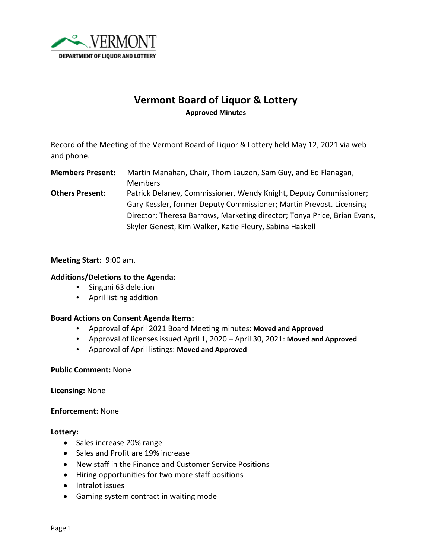

# **Vermont Board of Liquor & Lottery Approved Minutes**

Record of the Meeting of the Vermont Board of Liquor & Lottery held May 12, 2021 via web and phone.

**Members Present:** Martin Manahan, Chair, Thom Lauzon, Sam Guy, and Ed Flanagan, Members **Others Present:** Patrick Delaney, Commissioner, Wendy Knight, Deputy Commissioner; Gary Kessler, former Deputy Commissioner; Martin Prevost. Licensing Director; Theresa Barrows, Marketing director; Tonya Price, Brian Evans, Skyler Genest, Kim Walker, Katie Fleury, Sabina Haskell

### **Meeting Start:** 9:00 am.

### **Additions/Deletions to the Agenda:**

- Singani 63 deletion
- April listing addition

### **Board Actions on Consent Agenda Items:**

- Approval of April 2021 Board Meeting minutes: **Moved and Approved**
- Approval of licenses issued April 1, 2020 April 30, 2021: **Moved and Approved**
- Approval of April listings: **Moved and Approved**

### **Public Comment:** None

**Licensing:** None

**Enforcement:** None

#### **Lottery:**

- Sales increase 20% range
- Sales and Profit are 19% increase
- New staff in the Finance and Customer Service Positions
- Hiring opportunities for two more staff positions
- Intralot issues
- Gaming system contract in waiting mode